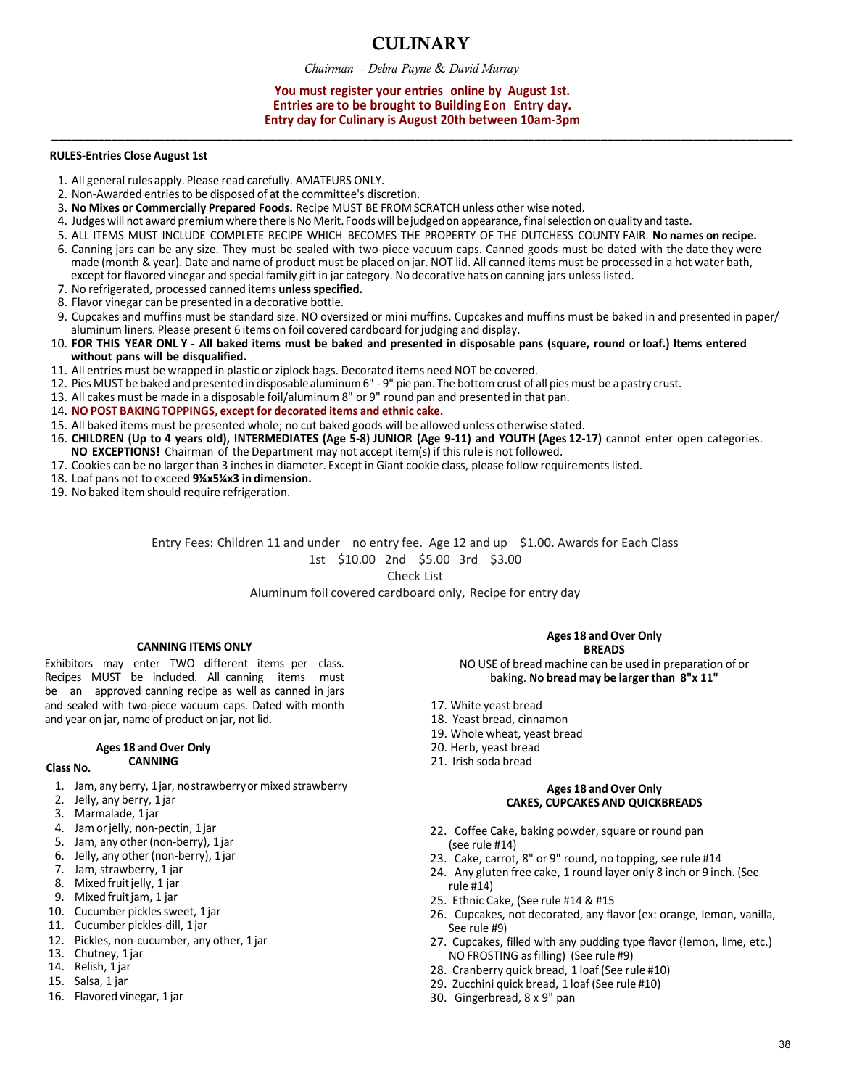## **CULINARY**

*Chairman* - *Debra Payne* & *David Murray*

## **You must register your entries online by August 1st. Entries are to be brought to Building E on Entry day. Entry day for Culinary is August 20th between 10am-3pm**

**\_\_\_\_\_\_\_\_\_\_\_\_\_\_\_\_\_\_\_\_\_\_\_\_\_\_\_\_\_\_\_\_\_\_\_\_\_\_\_\_\_\_\_\_\_\_\_\_\_\_\_\_\_\_\_\_\_\_\_\_\_\_\_\_\_\_\_\_\_\_\_\_\_\_\_\_\_\_\_\_\_\_\_\_\_\_\_\_\_\_\_\_\_\_\_\_\_\_\_\_\_\_\_\_\_\_\_\_\_\_\_\_**

## **RULES-Entries Close August 1st**

- 1. All general rules apply. Please read carefully. AMATEURS ONLY.
- 2. Non-Awarded entries to be disposed of at the committee's discretion.
- 3. **No Mixes or Commercially Prepared Foods.** Recipe MUST BE FROM SCRATCH unless other wise noted.
- 4. Judges will not award premium where there is No Merit. Foods will bejudged on appearance, finalselection on quality and taste.
- 5. ALL ITEMS MUST INCLUDE COMPLETE RECIPE WHICH BECOMES THE PROPERTY OF THE DUTCHESS COUNTY FAIR. **No names on recipe.**
- 6. Canning jars can be any size. They must be sealed with two-piece vacuum caps. Canned goods must be dated with the date they were made (month & year). Date and name of product must be placed on jar. NOT lid. All canned items must be processed in a hot water bath, except for flavored vinegar and special family gift in jar category. No decorative hats on canning jars unless listed.
- 7. No refrigerated, processed canned items **unless specified.**
- 8. Flavor vinegar can be presented in a decorative bottle.
- 9. Cupcakes and muffins must be standard size. NO oversized or mini muffins. Cupcakes and muffins must be baked in and presented in paper/ aluminum liners. Please present 6 items on foil covered cardboard for judging and display.
- 10. **FOR THIS YEAR ONL Y All baked items must be baked and presented in disposable pans (square, round or loaf.) Items entered without pans will be disqualified.**
- 11. All entries must be wrapped in plastic or ziplock bags. Decorated items need NOT be covered.
- 12. Pies MUST be baked and presentedin disposablealuminum 6" 9" pie pan. The bottom crust of all pies must be a pastry crust.
- 13. All cakes must be made in a disposable foil/aluminum 8" or 9" round pan and presented in that pan.
- 14. **NO POST BAKING TOPPINGS, except for decorated items and ethnic cake.**
- 15. All baked items must be presented whole; no cut baked goods will be allowed unless otherwise stated.
- 16. **CHILDREN (Up to 4 years old), INTERMEDIATES (Age 5-8) JUNIOR (Age 9-11) and YOUTH (Ages 12-17)** cannot enter open categories. **NO EXCEPTIONS!** Chairman of the Department may not accept item(s) if this rule is not followed.
- 17. Cookies can be no larger than 3 inches in diameter. Except in Giant cookie class, please follow requirements listed.
- 18. Loaf pans not to exceed **9¼x5¼x3 in dimension.**
- 19. No baked item should require refrigeration.

Entry Fees: Children 11 and under no entry fee. Age 12 and up \$1.00. Awards for Each Class 1st \$10.00 2nd \$5.00 3rd \$3.00

Check List

Aluminum foil covered cardboard only, Recipe for entry day

## **CANNING ITEMS ONLY**

Exhibitors may enter TWO different items per class. Recipes MUST be included. All canning items must be an approved canning recipe as well as canned in jars and sealed with two-piece vacuum caps. Dated with month and year on jar, name of product onjar, not lid.

#### **Ages 18 and Over Only CANNING**

#### **Class No.**

- 1. Jam, any berry, 1 jar, nostrawberry or mixed strawberry
- 2. Jelly, any berry, 1 jar
- 3. Marmalade, 1 jar
- 4. Jam orjelly, non-pectin, 1 jar
- 5. Jam, any other(non-berry), 1 jar
- 6. Jelly, any other (non-berry), 1 jar
- 7. Jam, strawberry, 1 jar
- 8. Mixed fruit jelly, 1 jar
- 9. Mixed fruit jam, 1 jar
- 10. Cucumber pickles sweet, 1 jar
- 11. Cucumber pickles-dill, 1 jar
- 12. Pickles, non-cucumber, any other, 1 jar
- 13. Chutney, 1 jar
- 14. Relish, 1 jar
- 15. Salsa, 1 jar
- 16. Flavored vinegar, 1 jar

## **Ages 18 and Over Only BREADS**

NO USE of bread machine can be used in preparation of or baking. **No bread may be larger than 8"x 11"** 

- 17. White yeast bread
- 18. Yeast bread, cinnamon
- 19. Whole wheat, yeast bread
- 20. Herb, yeast bread
- 21. Irish soda bread

## **Ages 18 and Over Only CAKES, CUPCAKES AND QUICKBREADS**

- 22. Coffee Cake, baking powder, square or round pan (see rule #14)
- 23. Cake, carrot, 8" or 9" round, no topping, see rule #14
- 24. Any gluten free cake, 1 round layer only 8 inch or 9 inch. (See rule #14)
- 25. Ethnic Cake, (See rule #14 & #15
- 26. Cupcakes, not decorated, any flavor (ex: orange, lemon, vanilla, See rule #9)
- 27. Cupcakes, filled with any pudding type flavor (lemon, lime, etc.) NO FROSTING as filling) (See rule #9)
- 28. Cranberry quick bread, 1 loaf (See rule #10)
- 29. Zucchini quick bread, 1 loaf (See rule #10)
- 30. Gingerbread, 8 x 9" pan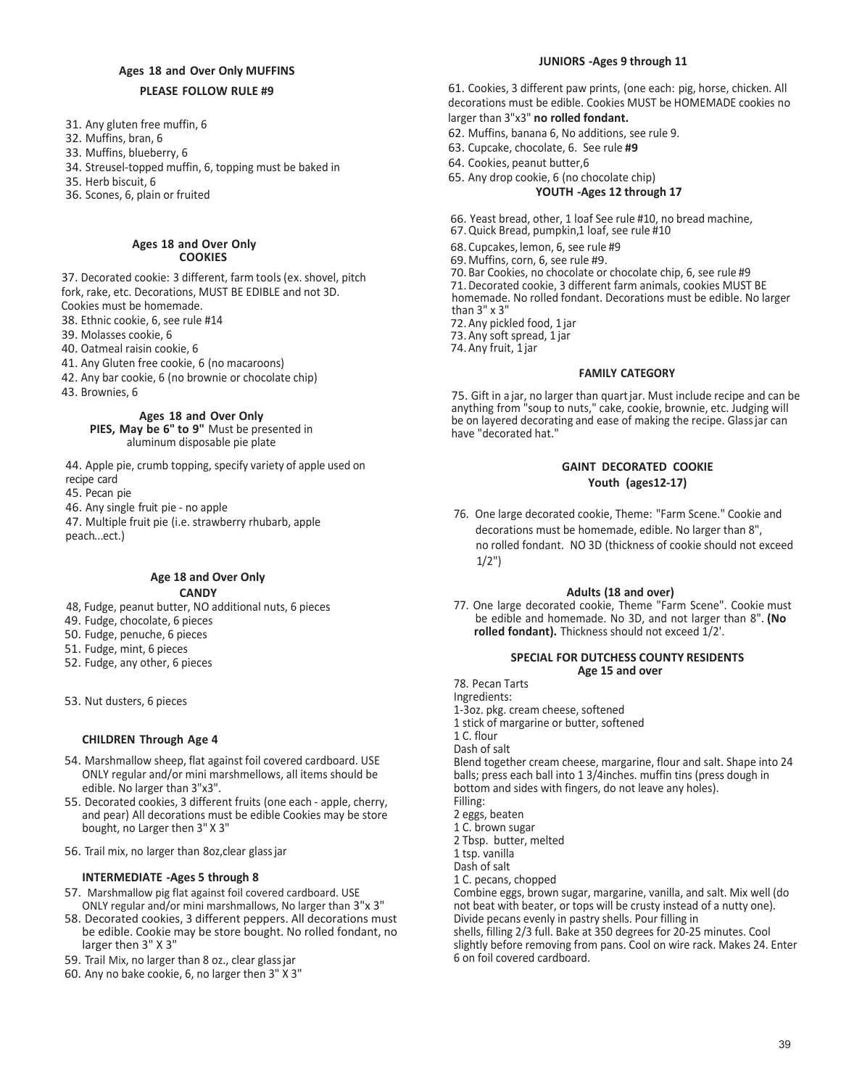## **Ages 18 and Over Only MUFFINS**

## **PLEASE FOLLOW RULE #9**

- 31. Any gluten free muffin, 6
- 32. Muffins, bran, 6
- 33. Muffins, blueberry, 6
- 34. Streusel-topped muffin, 6, topping must be baked in
- 35. Herb biscuit, 6
- 36. Scones, 6, plain or fruited

#### **Ages 18 and Over Only COOKIES**

37. Decorated cookie: 3 different, farm tools (ex. shovel, pitch fork, rake, etc. Decorations, MUST BE EDIBLE and not 3D. Cookies must be homemade.

38. Ethnic cookie, 6, see rule #14

- 39. Molasses cookie, 6
- 40. Oatmeal raisin cookie, 6
- 41. Any Gluten free cookie, 6 (no macaroons)
- 42. Any bar cookie, 6 (no brownie or chocolate chip)
- 43. Brownies, 6

## **Ages 18 and Over Only**

## **PIES, May be 6" to 9"** Must be presented in aluminum disposable pie plate

44. Apple pie, crumb topping, specify variety of apple used on recipe card

45. Pecan pie

46. Any single fruit pie - no apple

47. Multiple fruit pie (i.e. strawberry rhubarb, apple peach... ect.)

## **Age 18 and Over Only CANDY**

- 48, Fudge, peanut butter, NO additional nuts, 6 pieces
- 49. Fudge, chocolate, 6 pieces
- 50. Fudge, penuche, 6 pieces
- 51. Fudge, mint, 6 pieces
- 52. Fudge, any other, 6 pieces
- 53. Nut dusters, 6 pieces

## **CHILDREN Through Age 4**

- 54. Marshmallow sheep, flat against foil covered cardboard. USE ONLY regular and/or mini marshmellows, all items should be edible. No larger than 3"x3".
- 55. Decorated cookies, 3 different fruits (one each apple, cherry, and pear) All decorations must be edible Cookies may be store bought, no Larger then 3" X 3"
- 56. Trail mix, no larger than 8oz,clear glass jar

## **INTERMEDIATE -Ages 5 through 8**

- 57. Marshmallow pig flat against foil covered cardboard. USE ONLY regular and/or mini marshmallows, No larger than 3"x 3"
- 58. Decorated cookies, 3 different peppers. All decorations must be edible. Cookie may be store bought. No rolled fondant, no larger then 3" X 3"
- 59. Trail Mix, no larger than 8 oz., clear glass jar
- 60. Any no bake cookie, 6, no larger then 3" X 3"

## **JUNIORS -Ages 9 through 11**

61. Cookies, 3 different paw prints, (one each: pig, horse, chicken. All decorations must be edible. Cookies MUST be HOMEMADE cookies no larger than 3"x3" **no rolled fondant.**

- 62. Muffins, banana 6, No additions, see rule 9.
- 63. Cupcake, chocolate, 6. See rule **#9**
- 64. Cookies, peanut butter,6

65. Any drop cookie, 6 (no chocolate chip)

**YOUTH -Ages 12 through 17**

66. Yeast bread, other, 1 loaf See rule #10, no bread machine, 67. Quick Bread, pumpkin,1 loaf, see rule #10 68.Cupcakes, lemon, 6, see rule #9 69.Muffins, corn, 6, see rule #9. 70.Bar Cookies, no chocolate or chocolate chip, 6, see rule #9 71.Decorated cookie, 3 different farm animals, cookies MUST BE homemade. No rolled fondant. Decorations must be edible. No larger than 3" x 3" 72.Any pickled food, 1 jar 73.Any soft spread, 1 jar 74. Any fruit, 1 jar

## **FAMILY CATEGORY**

75. Gift in a jar, no larger than quart jar. Must include recipe and can be anything from "soup to nuts," cake, cookie, brownie, etc. Judging will be on layered decorating and ease of making the recipe. Glass jar can have "decorated hat."

## **GAINT DECORATED COOKIE Youth (ages12-17)**

76. One large decorated cookie, Theme: "Farm Scene." Cookie and decorations must be homemade, edible. No larger than 8", no rolled fondant. NO 3D (thickness of cookie should not exceed  $1/2"$ 

## **Adults (18 and over)**

77. One large decorated cookie, Theme "Farm Scene". Cookie must be edible and homemade. No 3D, and not larger than 8". **(No** rolled fondant). Thickness should not exceed  $1/2'$ .

## **SPECIAL FOR DUTCHESS COUNTY RESIDENTS Age 15 and over**

78. Pecan Tarts Ingredients: 1-3oz. pkg. cream cheese, softened 1 stick of margarine or butter, softened 1 C. flour Dash of salt Blend together cream cheese, margarine, flour and salt. Shape into 24 balls; press each ball into 1 3/4inches. muffin tins (press dough in bottom and sides with fingers, do not leave any holes). Filling: 2 eggs, beaten 1 C. brown sugar 2 Tbsp. butter, melted 1 tsp. vanilla Dash of salt 1 C. pecans, chopped Combine eggs, brown sugar, margarine, vanilla, and salt. Mix well (do not beat with beater, or tops will be crusty instead of a nutty one). Divide pecans evenly in pastry shells. Pour filling in shells, filling 2/3 full. Bake at 350 degrees for 20-25 minutes. Cool slightly before removing from pans. Cool on wire rack. Makes 24. Enter 6 on foil covered cardboard.